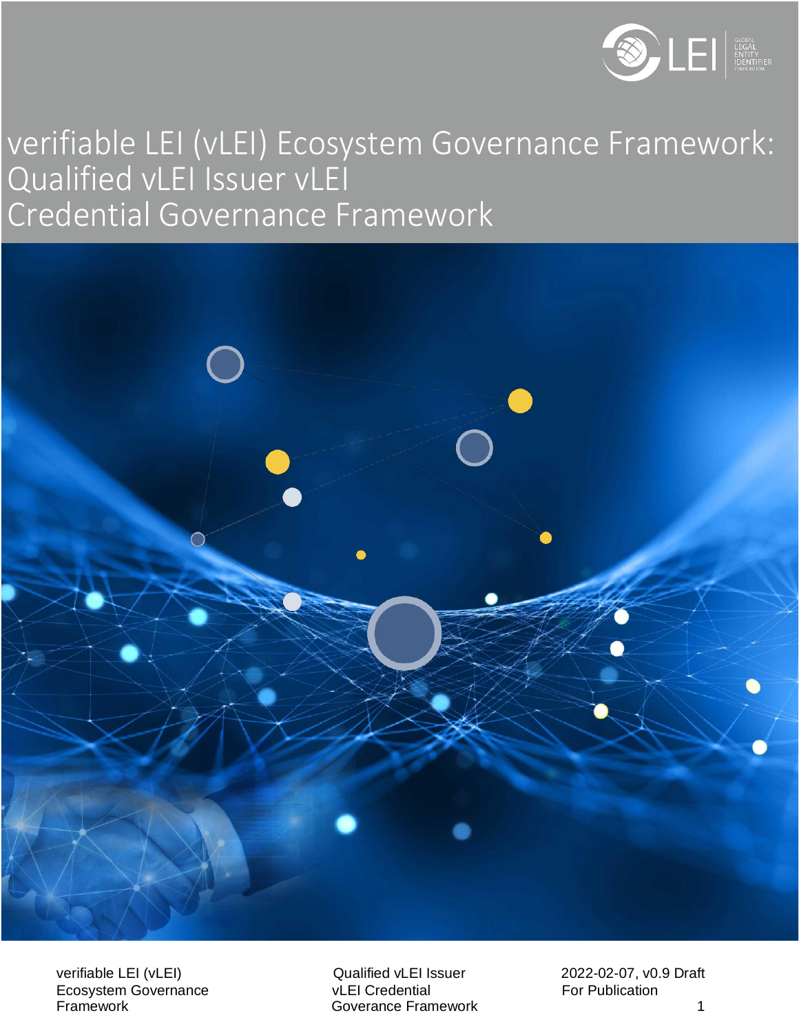

# 2 verifiable LEI (vLEI) Ecosystem Governance Framework: Qualified vLEI Issuer vLEI Credential Governance Framework



verifiable LEI (vLEI)<br>
Cualified vLEI Issuer and 2022-02-07, v0.9 Draft<br>
Credential Credential For Publication Ecosystem Governance<br>Framework

**Goverance Framework 1 and 1 and 1 and 1 and 1 and 1 and 1 and 1 and 1 and 1 and 1 and 1 and 1 and 1 and 1 and 1 and 1 and 1 and 1 and 1 and 1 and 1 and 1 and 1 and 1 and 1 and 1 and 1 and 1 and 1 and 1 and 1 and 1 and 1 a**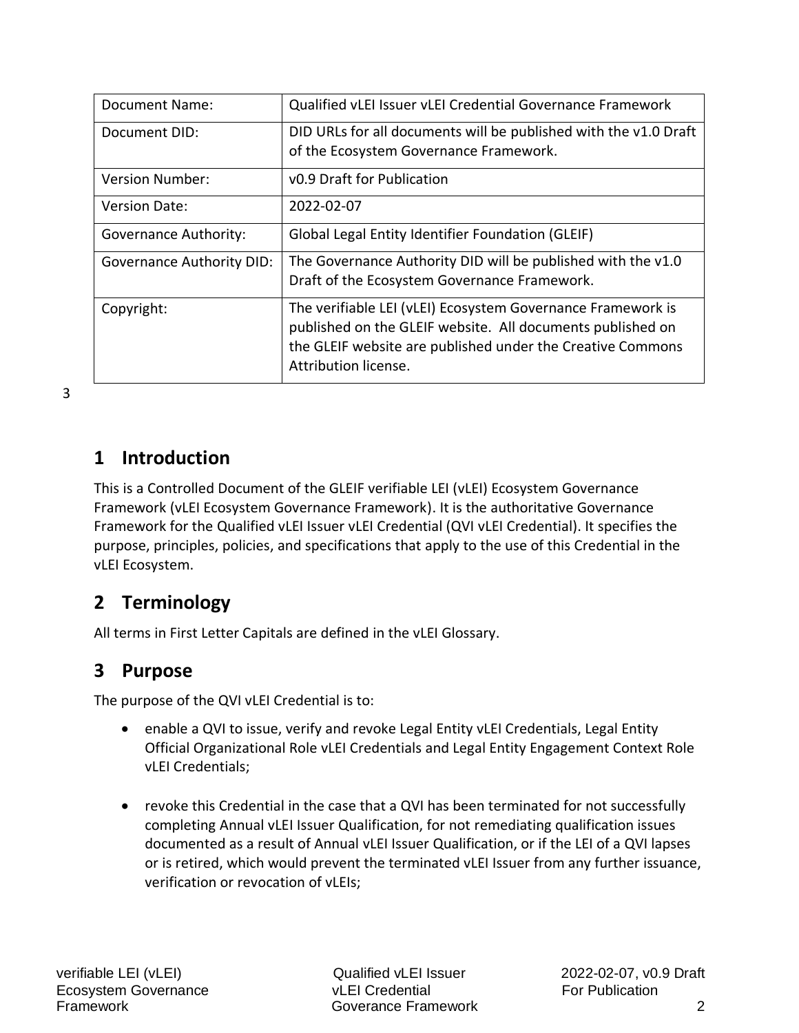| <b>Document Name:</b>            | Qualified vLEI Issuer vLEI Credential Governance Framework                                                                                                                                                      |
|----------------------------------|-----------------------------------------------------------------------------------------------------------------------------------------------------------------------------------------------------------------|
| Document DID:                    | DID URLs for all documents will be published with the v1.0 Draft<br>of the Ecosystem Governance Framework.                                                                                                      |
| Version Number:                  | v0.9 Draft for Publication                                                                                                                                                                                      |
| <b>Version Date:</b>             | 2022-02-07                                                                                                                                                                                                      |
| <b>Governance Authority:</b>     | Global Legal Entity Identifier Foundation (GLEIF)                                                                                                                                                               |
| <b>Governance Authority DID:</b> | The Governance Authority DID will be published with the v1.0<br>Draft of the Ecosystem Governance Framework.                                                                                                    |
| Copyright:                       | The verifiable LEI (vLEI) Ecosystem Governance Framework is<br>published on the GLEIF website. All documents published on<br>the GLEIF website are published under the Creative Commons<br>Attribution license. |

3

## **1 Introduction**

This is a Controlled Document of the GLEIF verifiable LEI (vLEI) Ecosystem Governance Framework (vLEI Ecosystem Governance Framework). It is the authoritative Governance Framework for the Qualified vLEI Issuer vLEI Credential (QVI vLEI Credential). It specifies the purpose, principles, policies, and specifications that apply to the use of this Credential in the vLEI Ecosystem.

# **2 Terminology**

All terms in First Letter Capitals are defined in the vLEI Glossary.

## **3 Purpose**

The purpose of the QVI vLEI Credential is to:

- enable a QVI to issue, verify and revoke Legal Entity vLEI Credentials, Legal Entity Official Organizational Role vLEI Credentials and Legal Entity Engagement Context Role vLEI Credentials;
- revoke this Credential in the case that a QVI has been terminated for not successfully completing Annual vLEI Issuer Qualification, for not remediating qualification issues documented as a result of Annual vLEI Issuer Qualification, or if the LEI of a QVI lapses or is retired, which would prevent the terminated vLEI Issuer from any further issuance, verification or revocation of vLEIs;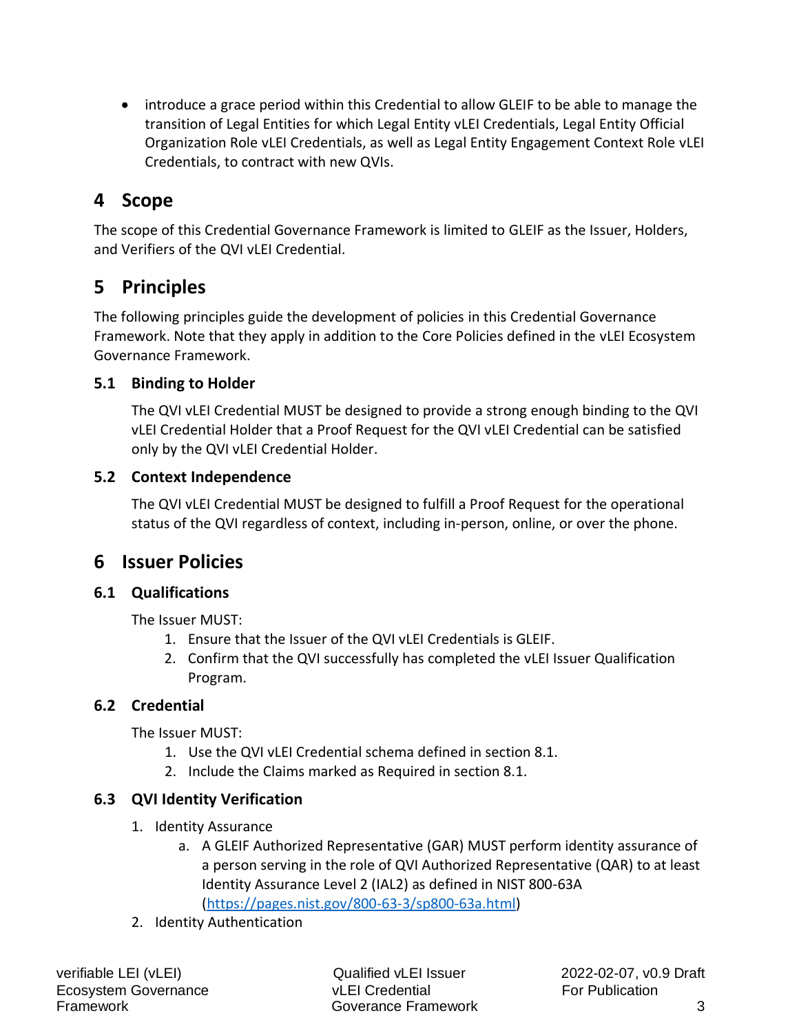• introduce a grace period within this Credential to allow GLEIF to be able to manage the transition of Legal Entities for which Legal Entity vLEI Credentials, Legal Entity Official Organization Role vLEI Credentials, as well as Legal Entity Engagement Context Role vLEI Credentials, to contract with new QVIs.

# **4 Scope**

The scope of this Credential Governance Framework is limited to GLEIF as the Issuer, Holders, and Verifiers of the QVI vLEI Credential.

## **5 Principles**

The following principles guide the development of policies in this Credential Governance Framework. Note that they apply in addition to the Core Policies defined in the vLEI Ecosystem Governance Framework.

#### **5.1 Binding to Holder**

The QVI vLEI Credential MUST be designed to provide a strong enough binding to the QVI vLEI Credential Holder that a Proof Request for the QVI vLEI Credential can be satisfied only by the QVI vLEI Credential Holder.

#### **5.2 Context Independence**

The QVI vLEI Credential MUST be designed to fulfill a Proof Request for the operational status of the QVI regardless of context, including in-person, online, or over the phone.

## **6 Issuer Policies**

## **6.1 Qualifications**

The Issuer MUST:

- 1. Ensure that the Issuer of the QVI vLEI Credentials is GLEIF.
- 2. Confirm that the QVI successfully has completed the vLEI Issuer Qualification Program.

## **6.2 Credential**

The Issuer MUST:

- 1. Use the QVI vLEI Credential schema defined in section 8.1.
- 2. Include the Claims marked as Required in section 8.1.

## **6.3 QVI Identity Verification**

- 1. Identity Assurance
	- a. A GLEIF Authorized Representative (GAR) MUST perform identity assurance of a person serving in the role of QVI Authorized Representative (QAR) to at least Identity Assurance Level 2 (IAL2) as defined in NIST 800-63A [\(https://pages.nist.gov/800-63-3/sp800-63a.html\)](https://pages.nist.gov/800-63-3/sp800-63a.html)
- 2. Identity Authentication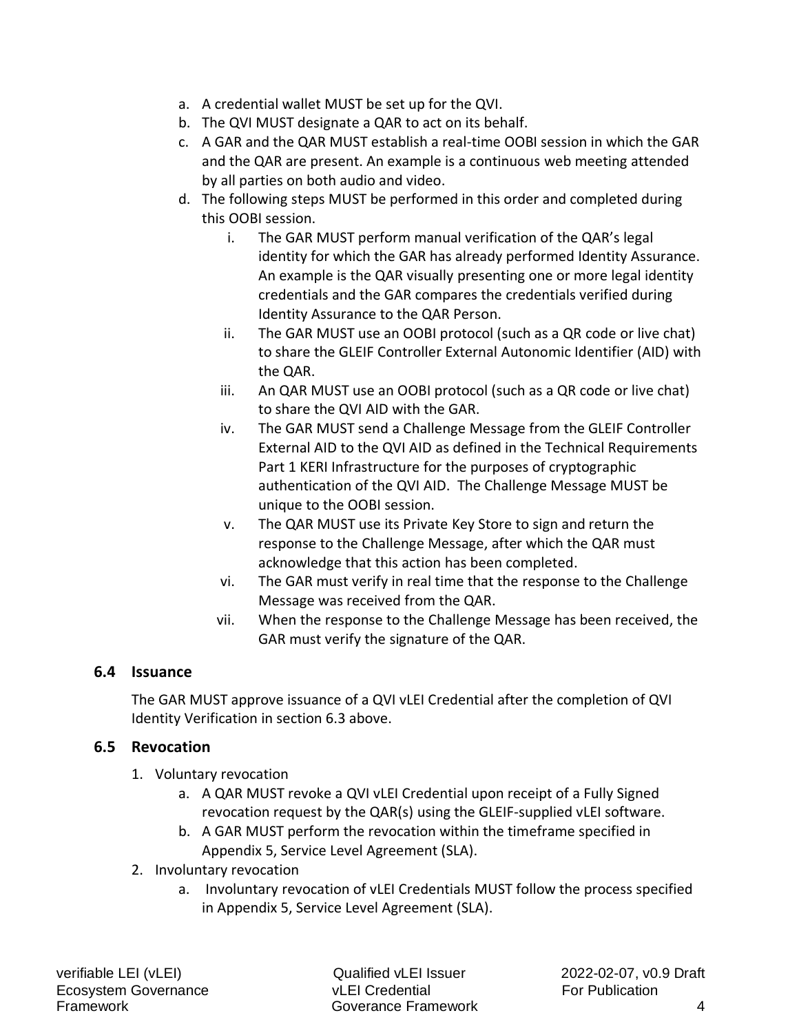- a. A credential wallet MUST be set up for the QVI.
- b. The QVI MUST designate a QAR to act on its behalf.
- c. A GAR and the QAR MUST establish a real-time OOBI session in which the GAR and the QAR are present. An example is a continuous web meeting attended by all parties on both audio and video.
- d. The following steps MUST be performed in this order and completed during this OOBI session.
	- i. The GAR MUST perform manual verification of the QAR's legal identity for which the GAR has already performed Identity Assurance. An example is the QAR visually presenting one or more legal identity credentials and the GAR compares the credentials verified during Identity Assurance to the QAR Person.
	- ii. The GAR MUST use an OOBI protocol (such as a QR code or live chat) to share the GLEIF Controller External Autonomic Identifier (AID) with the QAR.
	- iii. An QAR MUST use an OOBI protocol (such as a QR code or live chat) to share the QVI AID with the GAR.
	- iv. The GAR MUST send a Challenge Message from the GLEIF Controller External AID to the QVI AID as defined in the Technical Requirements Part 1 KERI Infrastructure for the purposes of cryptographic authentication of the QVI AID. The Challenge Message MUST be unique to the OOBI session.
	- v. The QAR MUST use its Private Key Store to sign and return the response to the Challenge Message, after which the QAR must acknowledge that this action has been completed.
	- vi. The GAR must verify in real time that the response to the Challenge Message was received from the QAR.
	- vii. When the response to the Challenge Message has been received, the GAR must verify the signature of the QAR.

#### **6.4 Issuance**

The GAR MUST approve issuance of a QVI vLEI Credential after the completion of QVI Identity Verification in section 6.3 above.

#### **6.5 Revocation**

- 1. Voluntary revocation
	- a. A QAR MUST revoke a QVI vLEI Credential upon receipt of a Fully Signed revocation request by the QAR(s) using the GLEIF-supplied vLEI software.
	- b. A GAR MUST perform the revocation within the timeframe specified in Appendix 5, Service Level Agreement (SLA).
- 2. Involuntary revocation
	- a. Involuntary revocation of vLEI Credentials MUST follow the process specified in Appendix 5, Service Level Agreement (SLA).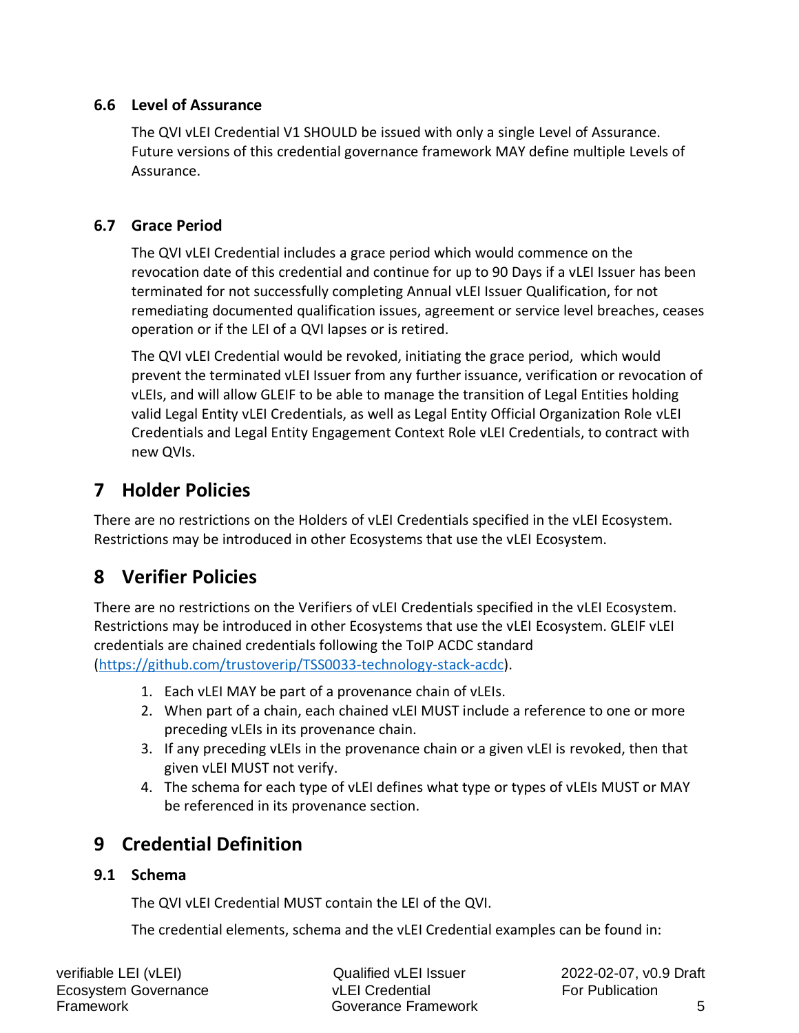#### **6.6 Level of Assurance**

The QVI vLEI Credential V1 SHOULD be issued with only a single Level of Assurance. Future versions of this credential governance framework MAY define multiple Levels of Assurance.

### **6.7 Grace Period**

The QVI vLEI Credential includes a grace period which would commence on the revocation date of this credential and continue for up to 90 Days if a vLEI Issuer has been terminated for not successfully completing Annual vLEI Issuer Qualification, for not remediating documented qualification issues, agreement or service level breaches, ceases operation or if the LEI of a QVI lapses or is retired.

The QVI vLEI Credential would be revoked, initiating the grace period, which would prevent the terminated vLEI Issuer from any further issuance, verification or revocation of vLEIs, and will allow GLEIF to be able to manage the transition of Legal Entities holding valid Legal Entity vLEI Credentials, as well as Legal Entity Official Organization Role vLEI Credentials and Legal Entity Engagement Context Role vLEI Credentials, to contract with new QVIs.

# **7 Holder Policies**

There are no restrictions on the Holders of vLEI Credentials specified in the vLEI Ecosystem. Restrictions may be introduced in other Ecosystems that use the vLEI Ecosystem.

# **8 Verifier Policies**

There are no restrictions on the Verifiers of vLEI Credentials specified in the vLEI Ecosystem. Restrictions may be introduced in other Ecosystems that use the vLEI Ecosystem. GLEIF vLEI credentials are chained credentials following the ToIP ACDC standard [\(https://github.com/trustoverip/TSS0033-technology-stack-acdc\)](https://github.com/trustoverip/TSS0033-technology-stack-acdc).

- 1. Each vLEI MAY be part of a provenance chain of vLEIs.
- 2. When part of a chain, each chained vLEI MUST include a reference to one or more preceding vLEIs in its provenance chain.
- 3. If any preceding vLEIs in the provenance chain or a given vLEI is revoked, then that given vLEI MUST not verify.
- 4. The schema for each type of vLEI defines what type or types of vLEIs MUST or MAY be referenced in its provenance section.

# **9 Credential Definition**

#### **9.1 Schema**

The QVI vLEI Credential MUST contain the LEI of the QVI.

The credential elements, schema and the vLEI Credential examples can be found in:

verifiable LEI (vLEI)  $\qquad Q$ ualified vLEI Issuer 2022-02-07, v0.9 Draft Ecosystem Governance **Example 20** vLEI Credential For Publication Framework Goverance Framework 5